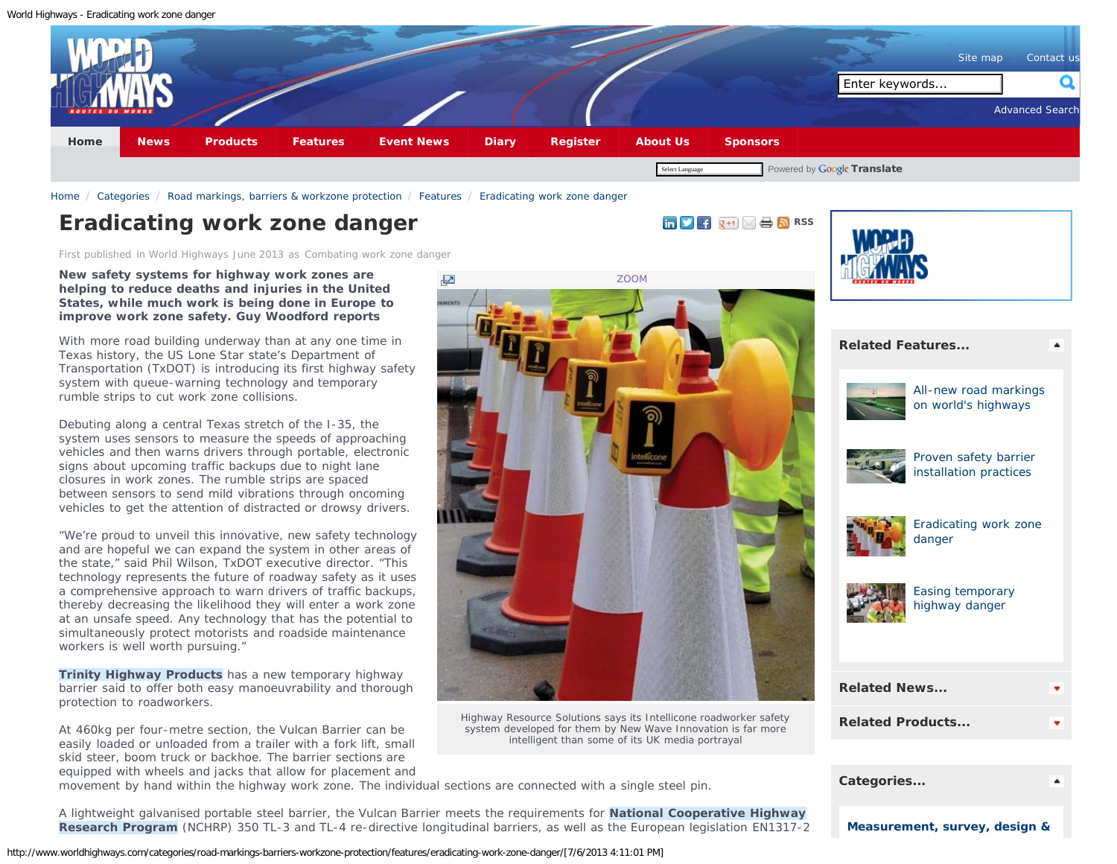#### <span id="page-0-0"></span>World Highways - Eradicating work zone danger



[ZOOM](http://www.worldhighways.com/EasysiteWeb/getresource.axd?AssetID=86630&type=custom&servicetype=Inline&customSizeId=73)

Highway Resource Solutions says its Intellicone roadworker safety system developed for them by New Wave Innovation is far more intelligent than some of its UK media portrayal

[Home](http://www.worldhighways.com/welcome/) / [Categories](http://www.worldhighways.com/categories/) / [Road markings, barriers & workzone protection](http://www.worldhighways.com/categories/road-markings-barriers-workzone-protection/) / [Features](http://www.worldhighways.com/categories/road-markings-barriers-workzone-protection/features/) / [Eradicating work zone danger](#page-0-0)

# **Eradicating work zone danger [RSS](http://www.worldhighways.com/rss/road-markings-barriers-workzone-protection/)**

First published in World Highways June 2013 as Combating work zone danger

**New safety systems for highway work zones are helping to reduce deaths and injuries in the United States, while much work is being done in Europe to improve work zone safety. Guy Woodford reports**

With more road building underway than at any one time in Texas history, the US Lone Star state's Department of Transportation (TxDOT) is introducing its first highway safety system with queue-warning technology and temporary rumble strips to cut work zone collisions.

Debuting along a central Texas stretch of the I-35, the system uses sensors to measure the speeds of approaching vehicles and then warns drivers through portable, electronic signs about upcoming traffic backups due to night lane closures in work zones. The rumble strips are spaced between sensors to send mild vibrations through oncoming vehicles to get the attention of distracted or drowsy drivers.

"We're proud to unveil this innovative, new safety technology and are hopeful we can expand the system in other areas of the state," said Phil Wilson, TxDOT executive director. "This technology represents the future of roadway safety as it uses a comprehensive approach to warn drivers of traffic backups, thereby decreasing the likelihood they will enter a work zone at an unsafe speed. Any technology that has the potential to simultaneously protect motorists and roadside maintenance workers is well worth pursuing."

**Trinity Highway Products** has a new temporary highway barrier said to offer both easy manoeuvrability and thorough protection to roadworkers.

At 460kg per four-metre section, the Vulcan Barrier can be easily loaded or unloaded from a trailer with a fork lift, small skid steer, boom truck or backhoe. The barrier sections are equipped with wheels and jacks that allow for placement and

movement by hand within the highway work zone. The individual sections are connected with a single steel pin.

A lightweight galvanised portable steel barrier, the Vulcan Barrier meets the requirements for **National Cooperative Highway Research Program** (NCHRP) 350 TL-3 and TL-4 re-directive longitudinal barriers, as well as the European legislation EN1317-2



**[Related Features...](#page-0-0)**

[All-new road markings](http://www.worldhighways.com/categories/road-markings-barriers-workzone-protection/features/all-new-road-markings-on-worlds-highways/) [on world's highways](http://www.worldhighways.com/categories/road-markings-barriers-workzone-protection/features/all-new-road-markings-on-worlds-highways/)



[Proven safety barrier](http://www.worldhighways.com/categories/road-markings-barriers-workzone-protection/features/proven-safety-barrier-installation-practices/) [installation practices](http://www.worldhighways.com/categories/road-markings-barriers-workzone-protection/features/proven-safety-barrier-installation-practices/)



[Eradicating work zone](#page-0-0) [danger](#page-0-0)



[Easing temporary](http://www.worldhighways.com/categories/road-markings-barriers-workzone-protection/features/easing-temporary-highway-danger/) [highway danger](http://www.worldhighways.com/categories/road-markings-barriers-workzone-protection/features/easing-temporary-highway-danger/)

| <b>Related News</b>     |  |
|-------------------------|--|
| <b>Related Products</b> |  |

| Categories                    |  |
|-------------------------------|--|
| Measurement, survey, design & |  |

http://www.worldhighways.com/categories/road-markings-barriers-workzone-protection/features/eradicating-work-zone-danger/[7/6/2013 4:11:01 PM]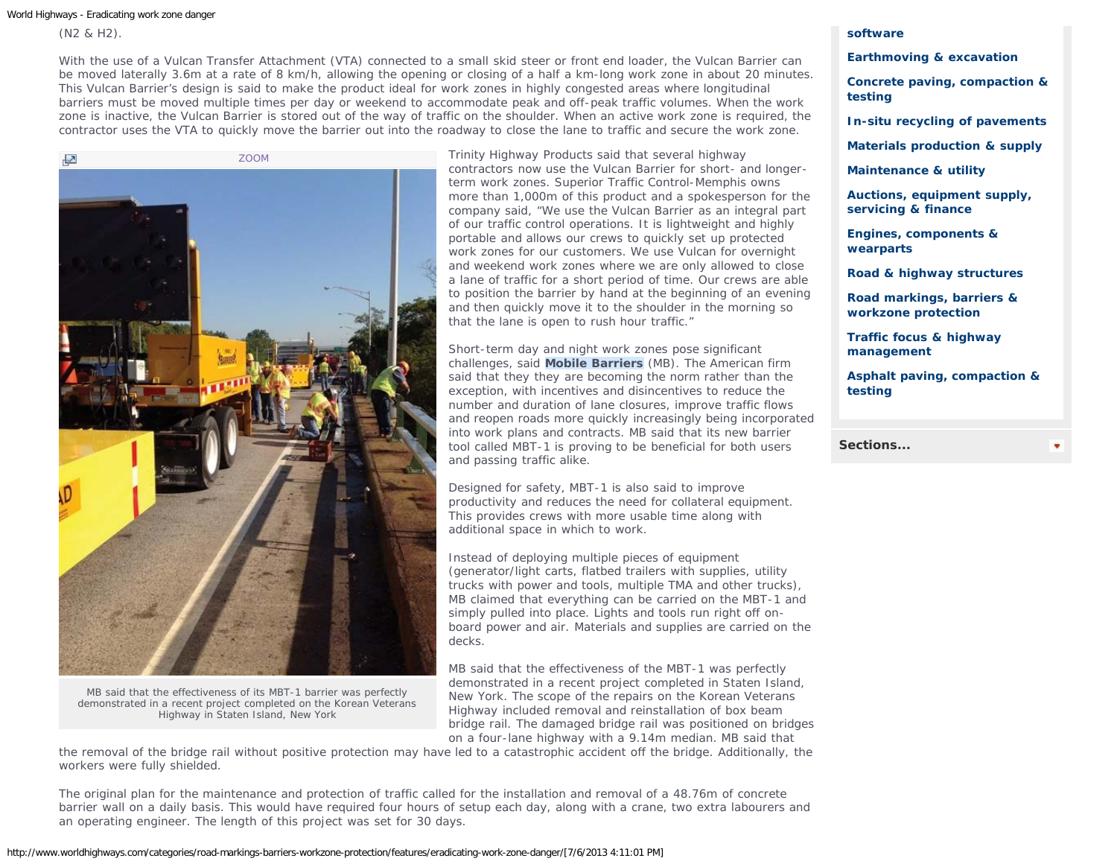World Highways - Eradicating work zone danger

(N2 & H2).

With the use of a Vulcan Transfer Attachment (VTA) connected to a small skid steer or front end loader, the Vulcan Barrier can be moved laterally 3.6m at a rate of 8 km/h, allowing the opening or closing of a half a km-long work zone in about 20 minutes. This Vulcan Barrier's design is said to make the product ideal for work zones in highly congested areas where longitudinal barriers must be moved multiple times per day or weekend to accommodate peak and off-peak traffic volumes. When the work zone is inactive, the Vulcan Barrier is stored out of the way of traffic on the shoulder. When an active work zone is required, the contractor uses the VTA to quickly move the barrier out into the roadway to close the lane to traffic and secure the work zone.



MB said that the effectiveness of its MBT-1 barrier was perfectly demonstrated in a recent project completed on the Korean Veterans Highway in Staten Island, New York

Trinity Highway Products said that several highway contractors now use the Vulcan Barrier for short- and longerterm work zones. Superior Traffic Control-Memphis owns more than 1,000m of this product and a spokesperson for the company said, "We use the Vulcan Barrier as an integral part of our traffic control operations. It is lightweight and highly portable and allows our crews to quickly set up protected work zones for our customers. We use Vulcan for overnight and weekend work zones where we are only allowed to close a lane of traffic for a short period of time. Our crews are able to position the barrier by hand at the beginning of an evening and then quickly move it to the shoulder in the morning so that the lane is open to rush hour traffic."

Short-term day and night work zones pose significant challenges, said **Mobile Barriers** (MB). The American firm said that they they are becoming the norm rather than the exception, with incentives and disincentives to reduce the number and duration of lane closures, improve traffic flows and reopen roads more quickly increasingly being incorporated into work plans and contracts. MB said that its new barrier tool called MBT-1 is proving to be beneficial for both users and passing traffic alike.

Designed for safety, MBT-1 is also said to improve productivity and reduces the need for collateral equipment. This provides crews with more usable time along with additional space in which to work.

Instead of deploying multiple pieces of equipment (generator/light carts, flatbed trailers with supplies, utility trucks with power and tools, multiple TMA and other trucks), MB claimed that everything can be carried on the MBT-1 and simply pulled into place. Lights and tools run right off onboard power and air. Materials and supplies are carried on the decks.

MB said that the effectiveness of the MBT-1 was perfectly demonstrated in a recent project completed in Staten Island, New York. The scope of the repairs on the Korean Veterans Highway included removal and reinstallation of box beam bridge rail. The damaged bridge rail was positioned on bridges on a four-lane highway with a 9.14m median. MB said that

the removal of the bridge rail without positive protection may have led to a catastrophic accident off the bridge. Additionally, the workers were fully shielded.

The original plan for the maintenance and protection of traffic called for the installation and removal of a 48.76m of concrete barrier wall on a daily basis. This would have required four hours of setup each day, along with a crane, two extra labourers and an operating engineer. The length of this project was set for 30 days.

# **[software](http://www.worldhighways.com/categories/measurement-survey-design-software/)**

## **[Earthmoving & excavation](http://www.worldhighways.com/categories/earthmoving-excavation/)**

**[Concrete paving, compaction &](http://www.worldhighways.com/categories/concrete-paving-compaction-testing/) [testing](http://www.worldhighways.com/categories/concrete-paving-compaction-testing/)**

**[In-situ recycling of pavements](http://www.worldhighways.com/categories/in-situ-recycling-of-pavements/)**

**[Materials production & supply](http://www.worldhighways.com/categories/materials-production-supply/)**

**[Maintenance & utility](http://www.worldhighways.com/categories/maintenance-utility/)**

**[Auctions, equipment supply,](http://www.worldhighways.com/categories/auctions-equipment-supply-servicing-finance/) [servicing & finance](http://www.worldhighways.com/categories/auctions-equipment-supply-servicing-finance/)**

**[Engines, components &](http://www.worldhighways.com/categories/engines-components-wearparts/) [wearparts](http://www.worldhighways.com/categories/engines-components-wearparts/)**

**[Road & highway structures](http://www.worldhighways.com/categories/road-highway-structures/)**

**[Road markings, barriers &](http://www.worldhighways.com/categories/road-markings-barriers-workzone-protection/) [workzone protection](http://www.worldhighways.com/categories/road-markings-barriers-workzone-protection/)**

**[Traffic focus & highway](http://www.worldhighways.com/categories/traffic-focus-highway-management/) [management](http://www.worldhighways.com/categories/traffic-focus-highway-management/)**

**[Asphalt paving, compaction &](http://www.worldhighways.com/categories/asphalt-paving-compaction-testing/) [testing](http://www.worldhighways.com/categories/asphalt-paving-compaction-testing/)**

**[Sections...](#page-0-0)**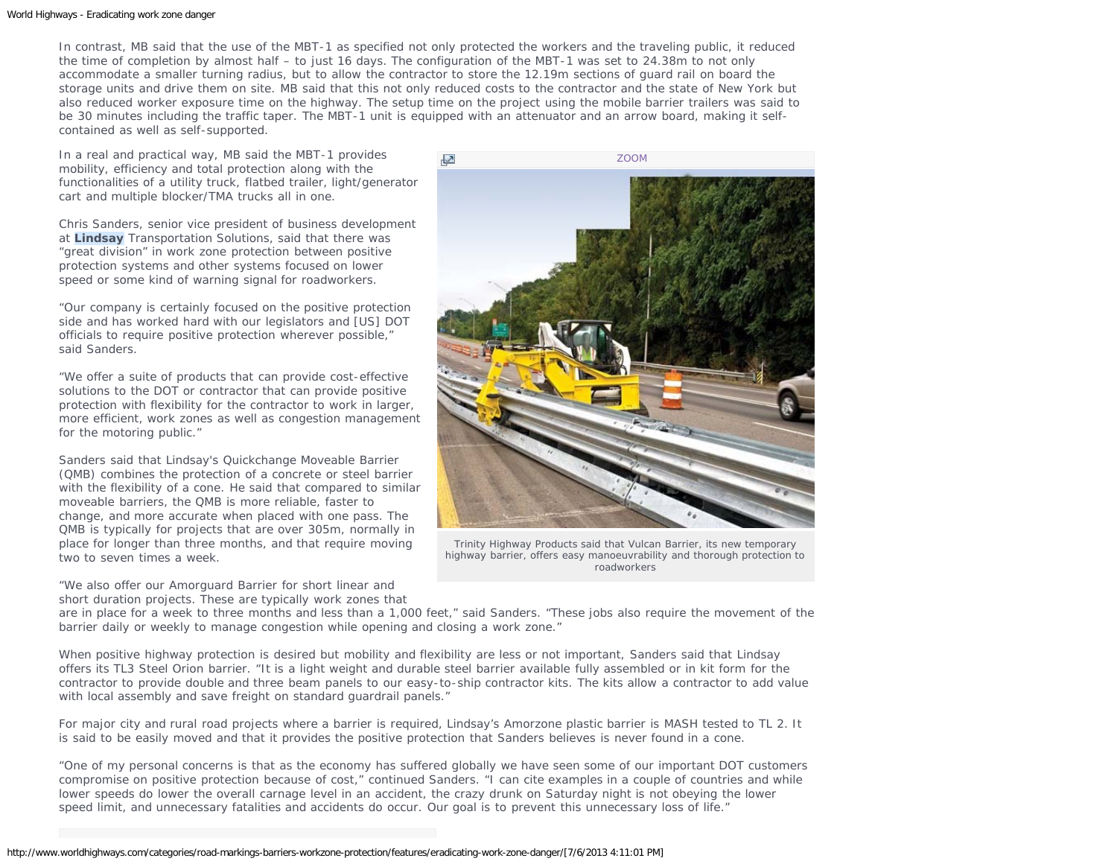#### World Highways - Eradicating work zone danger

In contrast, MB said that the use of the MBT-1 as specified not only protected the workers and the traveling public, it reduced the time of completion by almost half – to just 16 days. The configuration of the MBT-1 was set to 24.38m to not only accommodate a smaller turning radius, but to allow the contractor to store the 12.19m sections of guard rail on board the storage units and drive them on site. MB said that this not only reduced costs to the contractor and the state of New York but also reduced worker exposure time on the highway. The setup time on the project using the mobile barrier trailers was said to be 30 minutes including the traffic taper. The MBT-1 unit is equipped with an attenuator and an arrow board, making it selfcontained as well as self-supported.

In a real and practical way, MB said the MBT-1 provides mobility, efficiency and total protection along with the functionalities of a utility truck, flatbed trailer, light/generator cart and multiple blocker/TMA trucks all in one.

Chris Sanders, senior vice president of business development at **Lindsay** Transportation Solutions, said that there was "great division" in work zone protection between positive protection systems and other systems focused on lower speed or some kind of warning signal for roadworkers.

"Our company is certainly focused on the positive protection side and has worked hard with our legislators and [US] DOT officials to require positive protection wherever possible," said Sanders.

"We offer a suite of products that can provide cost-effective solutions to the DOT or contractor that can provide positive protection with flexibility for the contractor to work in larger, more efficient, work zones as well as congestion management for the motoring public."

Sanders said that Lindsay's Quickchange Moveable Barrier (QMB) combines the protection of a concrete or steel barrier with the flexibility of a cone. He said that compared to similar moveable barriers, the QMB is more reliable, faster to change, and more accurate when placed with one pass. The QMB is typically for projects that are over 305m, normally in place for longer than three months, and that require moving two to seven times a week.

"We also offer our Amorguard Barrier for short linear and short duration projects. These are typically work zones that



Trinity Highway Products said that Vulcan Barrier, its new temporary highway barrier, offers easy manoeuvrability and thorough protection to roadworkers

are in place for a week to three months and less than a 1,000 feet," said Sanders. "These jobs also require the movement of the barrier daily or weekly to manage congestion while opening and closing a work zone."

When positive highway protection is desired but mobility and flexibility are less or not important, Sanders said that Lindsay offers its TL3 Steel Orion barrier. "It is a light weight and durable steel barrier available fully assembled or in kit form for the contractor to provide double and three beam panels to our easy-to-ship contractor kits. The kits allow a contractor to add value with local assembly and save freight on standard quardrail panels."

For major city and rural road projects where a barrier is required, Lindsay's Amorzone plastic barrier is MASH tested to TL 2. It is said to be easily moved and that it provides the positive protection that Sanders believes is never found in a cone.

"One of my personal concerns is that as the economy has suffered globally we have seen some of our important DOT customers compromise on positive protection because of cost," continued Sanders. "I can cite examples in a couple of countries and while lower speeds do lower the overall carnage level in an accident, the crazy drunk on Saturday night is not obeying the lower speed limit, and unnecessary fatalities and accidents do occur. Our goal is to prevent this unnecessary loss of life."

http://www.worldhighways.com/categories/road-markings-barriers-workzone-protection/features/eradicating-work-zone-danger/[7/6/2013 4:11:01 PM]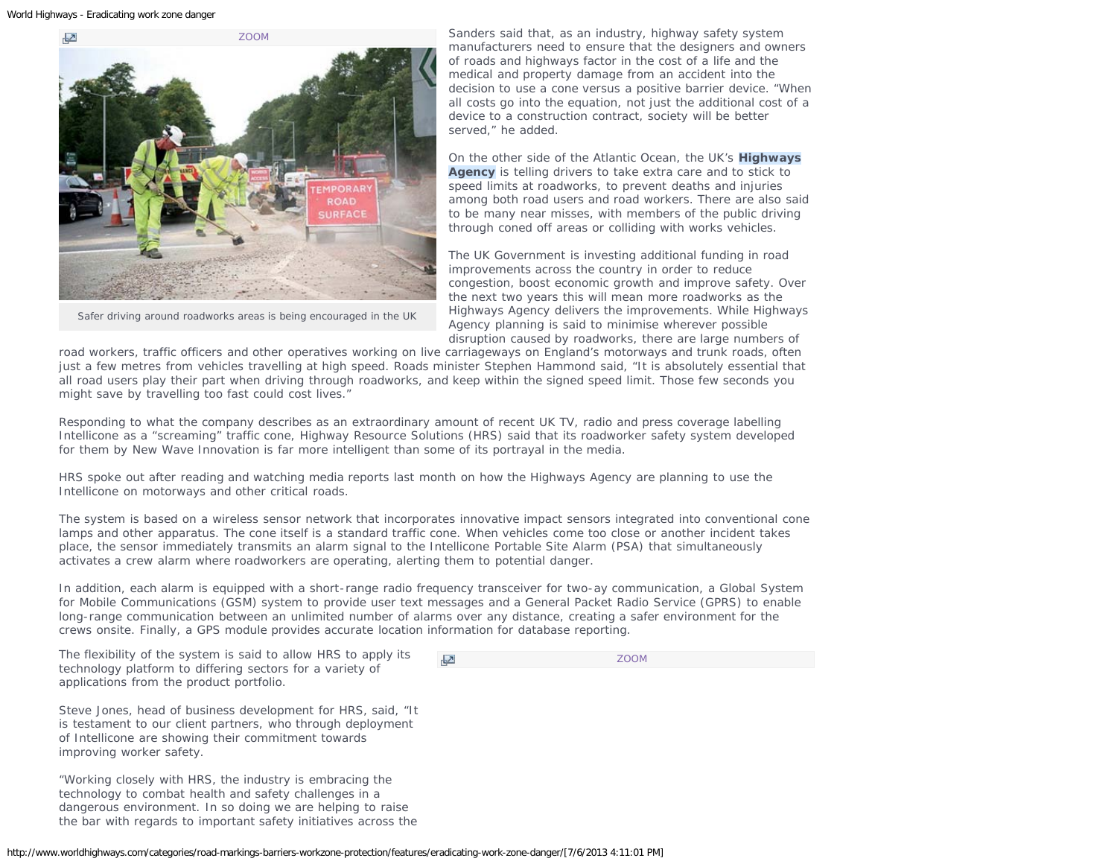

Safer driving around roadworks areas is being encouraged in the UK

Sanders said that, as an industry, highway safety system manufacturers need to ensure that the designers and owners of roads and highways factor in the cost of a life and the medical and property damage from an accident into the decision to use a cone versus a positive barrier device. "When all costs go into the equation, not just the additional cost of a device to a construction contract, society will be better served," he added.

On the other side of the Atlantic Ocean, the UK's **Highways Agency** is telling drivers to take extra care and to stick to speed limits at roadworks, to prevent deaths and injuries among both road users and road workers. There are also said to be many near misses, with members of the public driving through coned off areas or colliding with works vehicles.

The UK Government is investing additional funding in road improvements across the country in order to reduce congestion, boost economic growth and improve safety. Over the next two years this will mean more roadworks as the Highways Agency delivers the improvements. While Highways Agency planning is said to minimise wherever possible disruption caused by roadworks, there are large numbers of

road workers, traffic officers and other operatives working on live carriageways on England's motorways and trunk roads, often just a few metres from vehicles travelling at high speed. Roads minister Stephen Hammond said, "It is absolutely essential that all road users play their part when driving through roadworks, and keep within the signed speed limit. Those few seconds you might save by travelling too fast could cost lives."

Responding to what the company describes as an extraordinary amount of recent UK TV, radio and press coverage labelling Intellicone as a "screaming" traffic cone, Highway Resource Solutions (HRS) said that its roadworker safety system developed for them by New Wave Innovation is far more intelligent than some of its portrayal in the media.

HRS spoke out after reading and watching media reports last month on how the Highways Agency are planning to use the Intellicone on motorways and other critical roads.

The system is based on a wireless sensor network that incorporates innovative impact sensors integrated into conventional cone lamps and other apparatus. The cone itself is a standard traffic cone. When vehicles come too close or another incident takes place, the sensor immediately transmits an alarm signal to the Intellicone Portable Site Alarm (PSA) that simultaneously activates a crew alarm where roadworkers are operating, alerting them to potential danger.

In addition, each alarm is equipped with a short-range radio frequency transceiver for two-ay communication, a Global System for Mobile Communications (GSM) system to provide user text messages and a General Packet Radio Service (GPRS) to enable long-range communication between an unlimited number of alarms over any distance, creating a safer environment for the crews onsite. Finally, a GPS module provides accurate location information for database reporting.

The flexibility of the system is said to allow HRS to apply its technology platform to differing sectors for a variety of applications from the product portfolio.

[ZOOM](http://www.worldhighways.com/EasysiteWeb/getresource.axd?AssetID=86637&type=custom&servicetype=Inline&customSizeId=16)

Steve Jones, head of business development for HRS, said, "It is testament to our client partners, who through deployment of Intellicone are showing their commitment towards improving worker safety.

"Working closely with HRS, the industry is embracing the technology to combat health and safety challenges in a dangerous environment. In so doing we are helping to raise the bar with regards to important safety initiatives across the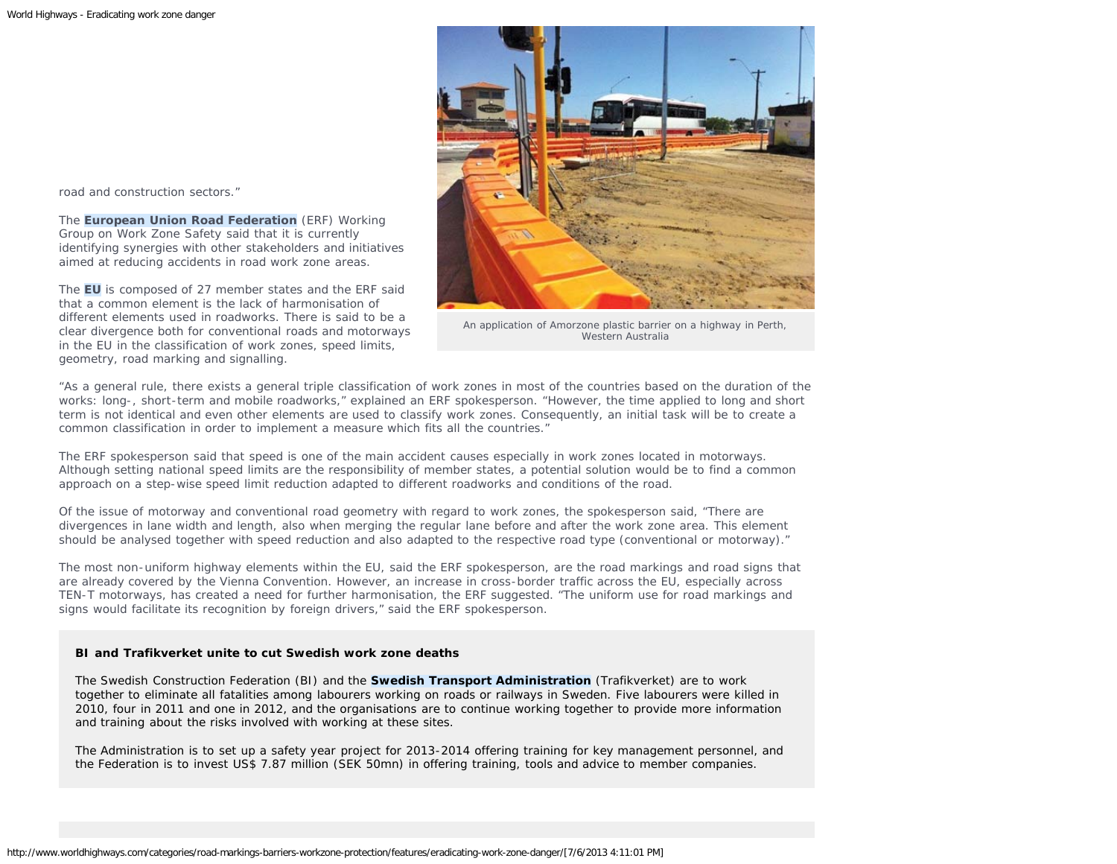road and construction sectors."

The **European Union Road Federation** (ERF) Working Group on Work Zone Safety said that it is currently identifying synergies with other stakeholders and initiatives aimed at reducing accidents in road work zone areas.

The **EU** is composed of 27 member states and the ERF said that a common element is the lack of harmonisation of different elements used in roadworks. There is said to be a clear divergence both for conventional roads and motorways in the EU in the classification of work zones, speed limits, geometry, road marking and signalling.



An application of Amorzone plastic barrier on a highway in Perth, Western Australia

"As a general rule, there exists a general triple classification of work zones in most of the countries based on the duration of the works: long-, short-term and mobile roadworks," explained an ERF spokesperson. "However, the time applied to long and short term is not identical and even other elements are used to classify work zones. Consequently, an initial task will be to create a common classification in order to implement a measure which fits all the countries."

The ERF spokesperson said that speed is one of the main accident causes especially in work zones located in motorways. Although setting national speed limits are the responsibility of member states, a potential solution would be to find a common approach on a step-wise speed limit reduction adapted to different roadworks and conditions of the road.

Of the issue of motorway and conventional road geometry with regard to work zones, the spokesperson said, "There are divergences in lane width and length, also when merging the regular lane before and after the work zone area. This element should be analysed together with speed reduction and also adapted to the respective road type (conventional or motorway)."

The most non-uniform highway elements within the EU, said the ERF spokesperson, are the road markings and road signs that are already covered by the Vienna Convention. However, an increase in cross-border traffic across the EU, especially across TEN-T motorways, has created a need for further harmonisation, the ERF suggested. "The uniform use for road markings and signs would facilitate its recognition by foreign drivers," said the ERF spokesperson.

## **BI and Trafikverket unite to cut Swedish work zone deaths**

The Swedish Construction Federation (BI) and the **Swedish Transport Administration** (Trafikverket) are to work together to eliminate all fatalities among labourers working on roads or railways in Sweden. Five labourers were killed in 2010, four in 2011 and one in 2012, and the organisations are to continue working together to provide more information and training about the risks involved with working at these sites.

The Administration is to set up a safety year project for 2013-2014 offering training for key management personnel, and the Federation is to invest US\$ 7.87 million (SEK 50mn) in offering training, tools and advice to member companies.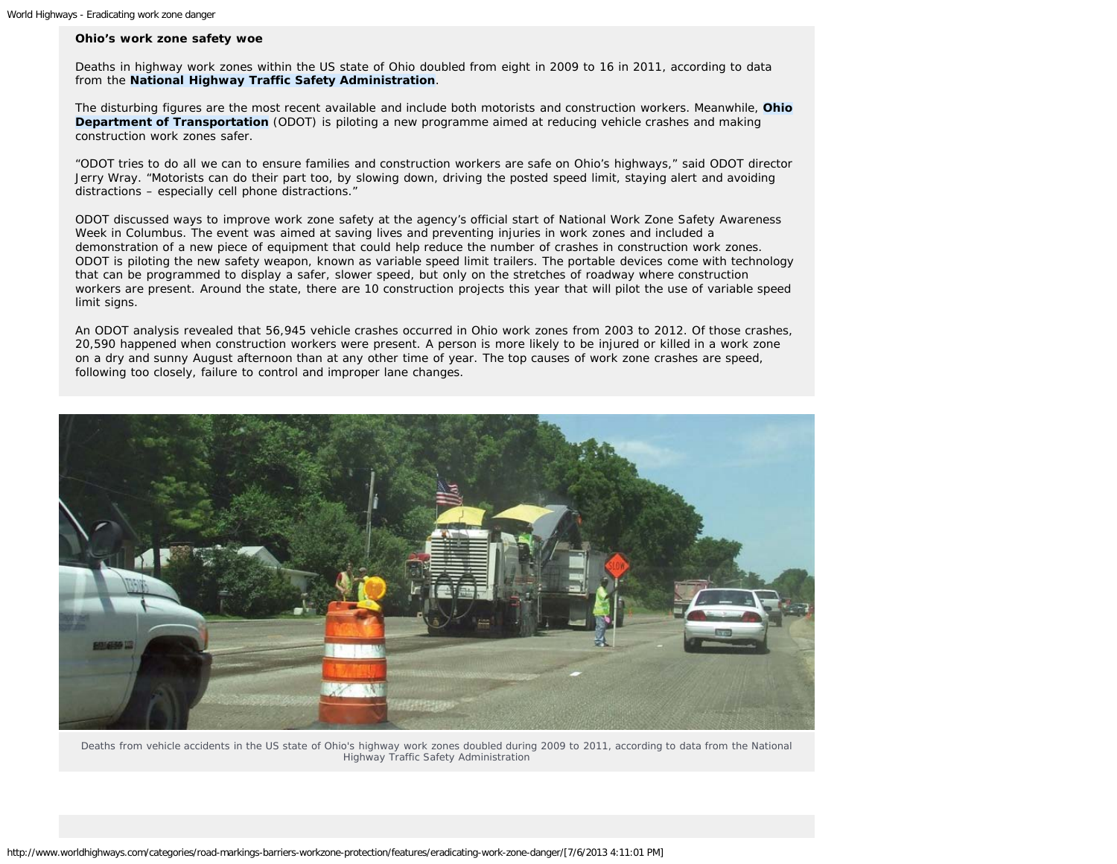## **Ohio's work zone safety woe**

Deaths in highway work zones within the US state of Ohio doubled from eight in 2009 to 16 in 2011, according to data from the **National Highway Traffic Safety Administration**.

The disturbing figures are the most recent available and include both motorists and construction workers. Meanwhile, **Ohio Department of Transportation** (ODOT) is piloting a new programme aimed at reducing vehicle crashes and making construction work zones safer.

"ODOT tries to do all we can to ensure families and construction workers are safe on Ohio's highways," said ODOT director Jerry Wray. "Motorists can do their part too, by slowing down, driving the posted speed limit, staying alert and avoiding distractions – especially cell phone distractions."

ODOT discussed ways to improve work zone safety at the agency's official start of National Work Zone Safety Awareness Week in Columbus. The event was aimed at saving lives and preventing injuries in work zones and included a demonstration of a new piece of equipment that could help reduce the number of crashes in construction work zones. ODOT is piloting the new safety weapon, known as variable speed limit trailers. The portable devices come with technology that can be programmed to display a safer, slower speed, but only on the stretches of roadway where construction workers are present. Around the state, there are 10 construction projects this year that will pilot the use of variable speed limit signs.

An ODOT analysis revealed that 56,945 vehicle crashes occurred in Ohio work zones from 2003 to 2012. Of those crashes, 20,590 happened when construction workers were present. A person is more likely to be injured or killed in a work zone on a dry and sunny August afternoon than at any other time of year. The top causes of work zone crashes are speed, following too closely, failure to control and improper lane changes.



Deaths from vehicle accidents in the US state of Ohio's highway work zones doubled during 2009 to 2011, according to data from the National Highway Traffic Safety Administration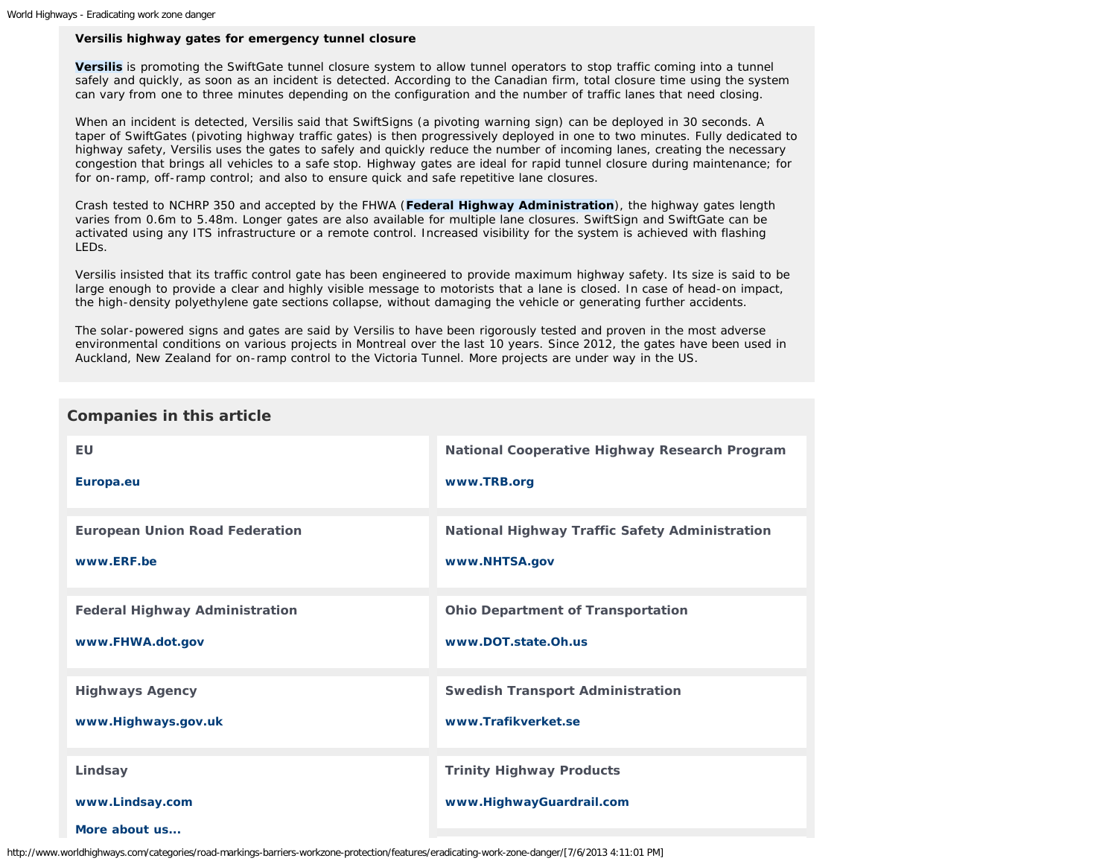## **Versilis highway gates for emergency tunnel closure**

**Versilis** is promoting the SwiftGate tunnel closure system to allow tunnel operators to stop traffic coming into a tunnel safely and quickly, as soon as an incident is detected. According to the Canadian firm, total closure time using the system can vary from one to three minutes depending on the configuration and the number of traffic lanes that need closing.

When an incident is detected, Versilis said that SwiftSigns (a pivoting warning sign) can be deployed in 30 seconds. A taper of SwiftGates (pivoting highway traffic gates) is then progressively deployed in one to two minutes. Fully dedicated to highway safety, Versilis uses the gates to safely and quickly reduce the number of incoming lanes, creating the necessary congestion that brings all vehicles to a safe stop. Highway gates are ideal for rapid tunnel closure during maintenance; for for on-ramp, off-ramp control; and also to ensure quick and safe repetitive lane closures.

Crash tested to NCHRP 350 and accepted by the FHWA (**Federal Highway Administration**), the highway gates length varies from 0.6m to 5.48m. Longer gates are also available for multiple lane closures. SwiftSign and SwiftGate can be activated using any ITS infrastructure or a remote control. Increased visibility for the system is achieved with flashing LEDs.

Versilis insisted that its traffic control gate has been engineered to provide maximum highway safety. Its size is said to be large enough to provide a clear and highly visible message to motorists that a lane is closed. In case of head-on impact, the high-density polyethylene gate sections collapse, without damaging the vehicle or generating further accidents.

The solar-powered signs and gates are said by Versilis to have been rigorously tested and proven in the most adverse environmental conditions on various projects in Montreal over the last 10 years. Since 2012, the gates have been used in Auckland, New Zealand for on-ramp control to the Victoria Tunnel. More projects are under way in the US.

| <b>Companies in this article</b> |
|----------------------------------|
|----------------------------------|

| EU                                    | National Cooperative Highway Research Program         |
|---------------------------------------|-------------------------------------------------------|
| Europa.eu                             | www.TRB.org                                           |
| <b>European Union Road Federation</b> | <b>National Highway Traffic Safety Administration</b> |
| www.ERF.be                            | www.NHTSA.gov                                         |
| <b>Federal Highway Administration</b> | <b>Ohio Department of Transportation</b>              |
| www.FHWA.dot.gov                      | www.DOT.state.Oh.us                                   |
| <b>Highways Agency</b>                | <b>Swedish Transport Administration</b>               |
| www.Highways.gov.uk                   | www.Trafikverket.se                                   |
| Lindsay                               | <b>Trinity Highway Products</b>                       |
| www.Lindsay.com                       | www.HighwayGuardrail.com                              |
| More about us                         |                                                       |

http://www.worldhighways.com/categories/road-markings-barriers-workzone-protection/features/eradicating-work-zone-danger/[7/6/2013 4:11:01 PM]